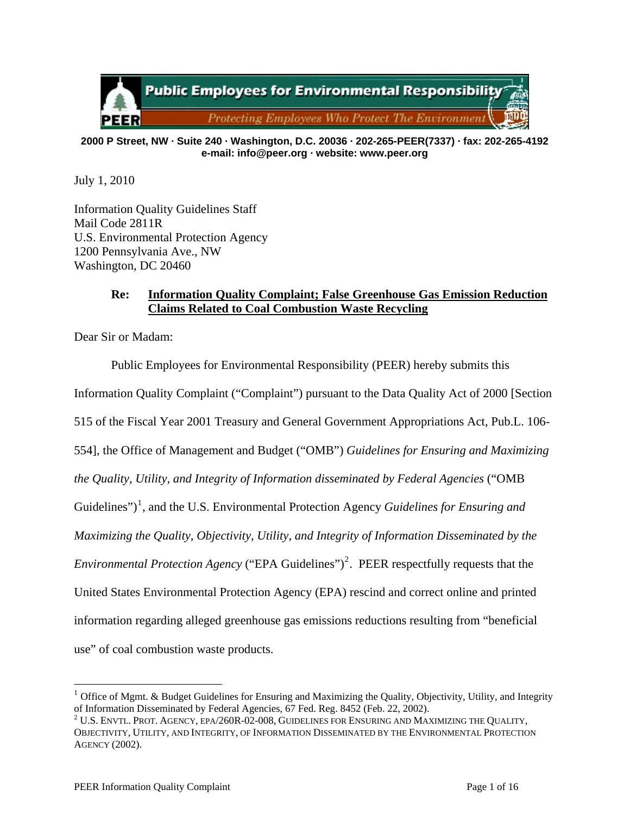

#### **2000 P Street, NW · Suite 240 · Washington, D.C. 20036 · 202-265-PEER(7337) · fax: 202-265-4192 e-mail: info@peer.org · website: www.peer.org**

July 1, 2010

Information Quality Guidelines Staff Mail Code 2811R U.S. Environmental Protection Agency 1200 Pennsylvania Ave., NW Washington, DC 20460

# **Re: Information Quality Complaint; False Greenhouse Gas Emission Reduction Claims Related to Coal Combustion Waste Recycling**

Dear Sir or Madam:

Public Employees for Environmental Responsibility (PEER) hereby submits this Information Quality Complaint ("Complaint") pursuant to the Data Quality Act of 2000 [Section 515 of the Fiscal Year 2001 Treasury and General Government Appropriations Act, Pub.L. 106- 554], the Office of Management and Budget ("OMB") *Guidelines for Ensuring and Maximizing the Quality, Utility, and Integrity of Information disseminated by Federal Agencies* ("OMB Guidelines")<sup>[1](#page-0-0)</sup>, and the U.S. Environmental Protection Agency *Guidelines for Ensuring and Maximizing the Quality, Objectivity, Utility, and Integrity of Information Disseminated by the Environmental Protection Agency* ("EPA Guidelines")<sup>[2](#page-0-1)</sup>. PEER respectfully requests that the United States Environmental Protection Agency (EPA) rescind and correct online and printed information regarding alleged greenhouse gas emissions reductions resulting from "beneficial use" of coal combustion waste products.

<span id="page-0-0"></span><sup>&</sup>lt;sup>1</sup> Office of Mgmt. & Budget Guidelines for Ensuring and Maximizing the Quality, Objectivity, Utility, and Integrity of Information Disseminated by Federal Agencies, 67 Fed. Reg. 8452 (Feb. 22, 2002).

<span id="page-0-1"></span> $^2$  U.S. Envtl. Prot. Agency, epa/260R-02-008, Guidelines for Ensuring and Maximizing the Quality, OBJECTIVITY, UTILITY, AND INTEGRITY, OF INFORMATION DISSEMINATED BY THE ENVIRONMENTAL PROTECTION AGENCY (2002).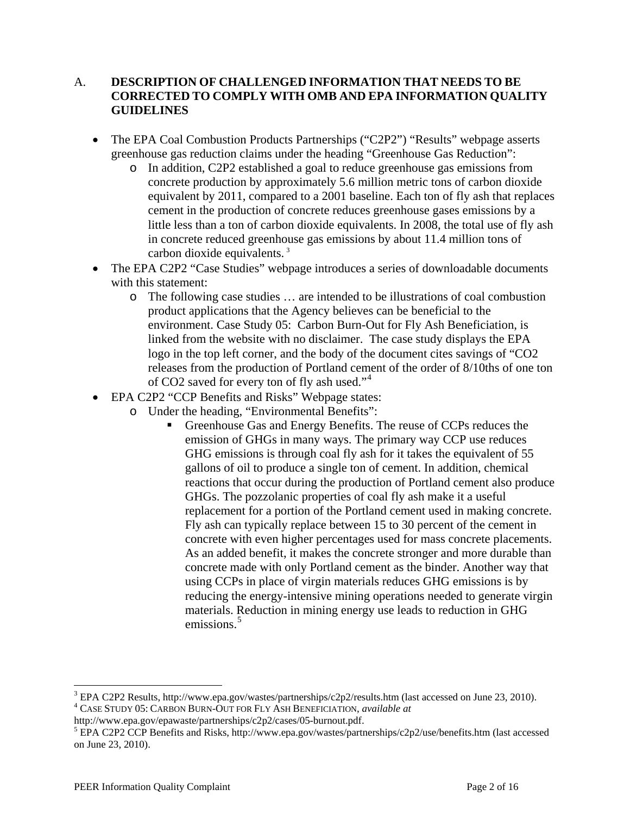# A. **DESCRIPTION OF CHALLENGED INFORMATION THAT NEEDS TO BE CORRECTED TO COMPLY WITH OMB AND EPA INFORMATION QUALITY GUIDELINES**

- The EPA Coal Combustion Products Partnerships ("C2P2") "Results" webpage asserts greenhouse gas reduction claims under the heading "Greenhouse Gas Reduction":
	- o In addition, C2P2 established a goal to reduce greenhouse gas emissions from concrete production by approximately 5.6 million metric tons of carbon dioxide equivalent by 2011, compared to a 2001 baseline. Each ton of fly ash that replaces cement in the production of concrete reduces greenhouse gases emissions by a little less than a ton of carbon dioxide equivalents. In 2008, the total use of fly ash in concrete reduced greenhouse gas emissions by about 11.4 million tons of carbon dioxide equivalents. [3](#page-1-0)
- The EPA C2P2 "Case Studies" webpage introduces a series of downloadable documents with this statement:
	- o The following case studies … are intended to be illustrations of coal combustion product applications that the Agency believes can be beneficial to the environment. Case Study 05: Carbon Burn-Out for Fly Ash Beneficiation, is linked from the website with no disclaimer. The case study displays the EPA logo in the top left corner, and the body of the document cites savings of "CO2 releases from the production of Portland cement of the order of 8/10ths of one ton of CO2 saved for every ton of fly ash used."[4](#page-1-1)
- EPA C2P2 "CCP Benefits and Risks" Webpage states:
	- o Under the heading, "Environmental Benefits":
		- Greenhouse Gas and Energy Benefits. The reuse of CCPs reduces the emission of GHGs in many ways. The primary way CCP use reduces GHG emissions is through coal fly ash for it takes the equivalent of 55 gallons of oil to produce a single ton of cement. In addition, chemical reactions that occur during the production of Portland cement also produce GHGs. The pozzolanic properties of coal fly ash make it a useful replacement for a portion of the Portland cement used in making concrete. Fly ash can typically replace between 15 to 30 percent of the cement in concrete with even higher percentages used for mass concrete placements. As an added benefit, it makes the concrete stronger and more durable than concrete made with only Portland cement as the binder. Another way that using CCPs in place of virgin materials reduces GHG emissions is by reducing the energy-intensive mining operations needed to generate virgin materials. Reduction in mining energy use leads to reduction in GHG emissions.<sup>[5](#page-1-2)</sup>

<span id="page-1-0"></span><sup>&</sup>lt;sup>3</sup> EPA C2P2 Results, http://www.epa.gov/wastes/partnerships/c2p2/results.htm (last accessed on June 23, 2010). CASE STUDY 05: CARBON BURN-OUT FOR FLY ASH BENEFICIATION, *available at*

<span id="page-1-1"></span>http://www.epa.gov/epawaste/partnerships/c2p2/cases/05-burnout.pdf. 5

<span id="page-1-2"></span>EPA C2P2 CCP Benefits and Risks, http://www.epa.gov/wastes/partnerships/c2p2/use/benefits.htm (last accessed on June 23, 2010).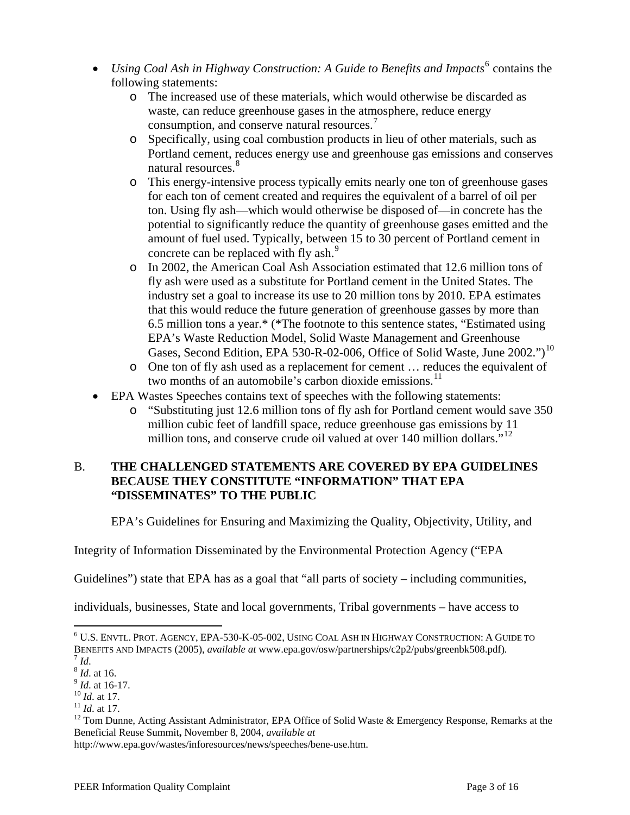- *Using Coal Ash in Highway Construction: A Guide to Benefits and Impacts*<sup>[6](#page-2-0)</sup> contains the following statements:
	- o The increased use of these materials, which would otherwise be discarded as waste, can reduce greenhouse gases in the atmosphere, reduce energy consumption, and conserve natural resources.[7](#page-2-1)
	- o Specifically, using coal combustion products in lieu of other materials, such as Portland cement, reduces energy use and greenhouse gas emissions and conserves natural resources.<sup>[8](#page-2-2)</sup>
	- o This energy-intensive process typically emits nearly one ton of greenhouse gases for each ton of cement created and requires the equivalent of a barrel of oil per ton. Using fly ash—which would otherwise be disposed of—in concrete has the potential to significantly reduce the quantity of greenhouse gases emitted and the amount of fuel used. Typically, between 15 to 30 percent of Portland cement in concrete can be replaced with fly ash.<sup>[9](#page-2-3)</sup>
	- o In 2002, the American Coal Ash Association estimated that 12.6 million tons of fly ash were used as a substitute for Portland cement in the United States. The industry set a goal to increase its use to 20 million tons by 2010. EPA estimates that this would reduce the future generation of greenhouse gasses by more than 6.5 million tons a year.\* (\*The footnote to this sentence states, "Estimated using EPA's Waste Reduction Model, Solid Waste Management and Greenhouse Gases, Second Edition, EPA 530-R-02-006, Office of Solid Waste, June 2002.")<sup>[10](#page-2-4)</sup>
	- o One ton of fly ash used as a replacement for cement … reduces the equivalent of two months of an automobile's carbon dioxide emissions.<sup>[11](#page-2-5)</sup>
- EPA Wastes Speeches contains text of speeches with the following statements:
	- o "Substituting just 12.6 million tons of fly ash for Portland cement would save 350 million cubic feet of landfill space, reduce greenhouse gas emissions by 11 million tons, and conserve crude oil valued at over 140 million dollars."<sup>[12](#page-2-6)</sup>

# B. **THE CHALLENGED STATEMENTS ARE COVERED BY EPA GUIDELINES BECAUSE THEY CONSTITUTE "INFORMATION" THAT EPA "DISSEMINATES" TO THE PUBLIC**

EPA's Guidelines for Ensuring and Maximizing the Quality, Objectivity, Utility, and

Integrity of Information Disseminated by the Environmental Protection Agency ("EPA

Guidelines") state that EPA has as a goal that "all parts of society – including communities,

individuals, businesses, State and local governments, Tribal governments – have access to

1

http://www.epa.gov/wastes/inforesources/news/speeches/bene-use.htm.

<span id="page-2-0"></span> $^6$  U.S. Envtl. Prot. Agency, EPA-530-K-05-002, Using Coal Ash in Highway Construction: A Guide to BENEFITS AND IMPACTS (2005), *available at* www.epa.gov/osw/partnerships/c2p2/pubs/greenbk508.pdf).<br>
<sup>7</sup> Id.<br>
<sup>8</sup> Id. at 16.<br>
<sup>9</sup> Id. at 16-17.<br>
<sup>10</sup> Id. at 17.<br>
<sup>11</sup> Id. at 17.<br>
<sup>11</sup> Id. at 17.<br>
<sup>11</sup> Id. at 17.<br>
<sup>12</sup> Tom

<span id="page-2-2"></span><span id="page-2-1"></span>

<span id="page-2-3"></span>

<span id="page-2-4"></span>

<span id="page-2-6"></span><span id="page-2-5"></span>Beneficial Reuse Summit**,** November 8, 2004, *available at*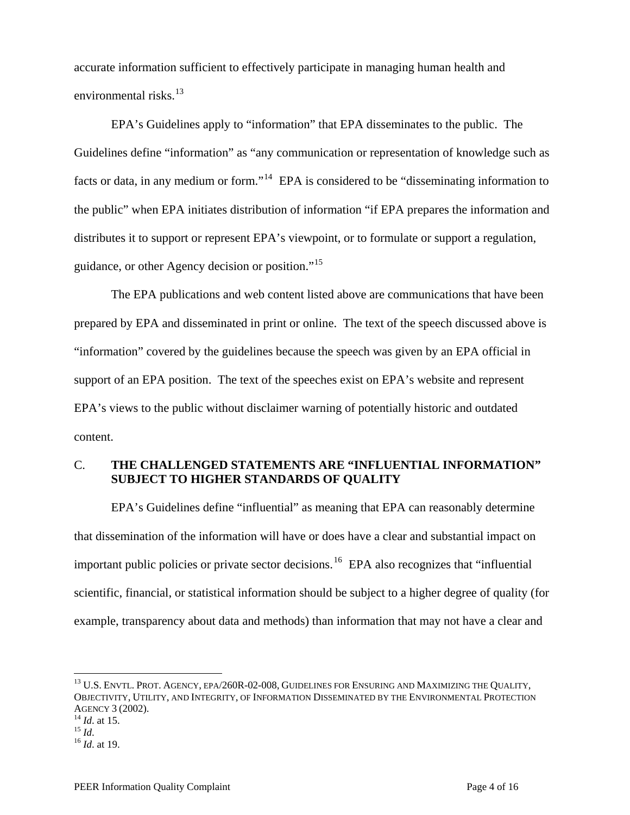accurate information sufficient to effectively participate in managing human health and environmental risks. $^{13}$  $^{13}$  $^{13}$ 

 EPA's Guidelines apply to "information" that EPA disseminates to the public. The Guidelines define "information" as "any communication or representation of knowledge such as facts or data, in any medium or form."<sup>[14](#page-3-1)</sup> EPA is considered to be "disseminating information to the public" when EPA initiates distribution of information "if EPA prepares the information and distributes it to support or represent EPA's viewpoint, or to formulate or support a regulation, guidance, or other Agency decision or position."<sup>[15](#page-3-2)</sup>

 The EPA publications and web content listed above are communications that have been prepared by EPA and disseminated in print or online. The text of the speech discussed above is "information" covered by the guidelines because the speech was given by an EPA official in support of an EPA position. The text of the speeches exist on EPA's website and represent EPA's views to the public without disclaimer warning of potentially historic and outdated content.

# C. **THE CHALLENGED STATEMENTS ARE "INFLUENTIAL INFORMATION" SUBJECT TO HIGHER STANDARDS OF QUALITY**

 EPA's Guidelines define "influential" as meaning that EPA can reasonably determine that dissemination of the information will have or does have a clear and substantial impact on important public policies or private sector decisions. [16](#page-3-3) EPA also recognizes that "influential scientific, financial, or statistical information should be subject to a higher degree of quality (for example, transparency about data and methods) than information that may not have a clear and

<span id="page-3-0"></span><sup>&</sup>lt;sup>13</sup> U.S. ENVTL. PROT. AGENCY, EPA/260R-02-008, GUIDELINES FOR ENSURING AND MAXIMIZING THE QUALITY, OBJECTIVITY, UTILITY, AND INTEGRITY, OF INFORMATION DISSEMINATED BY THE ENVIRONMENTAL PROTECTION AGENCY 3 (2002). 14 *Id*. at 15. 15 *Id*. 16 *Id*. at 19.

<span id="page-3-2"></span><span id="page-3-1"></span>

<span id="page-3-3"></span>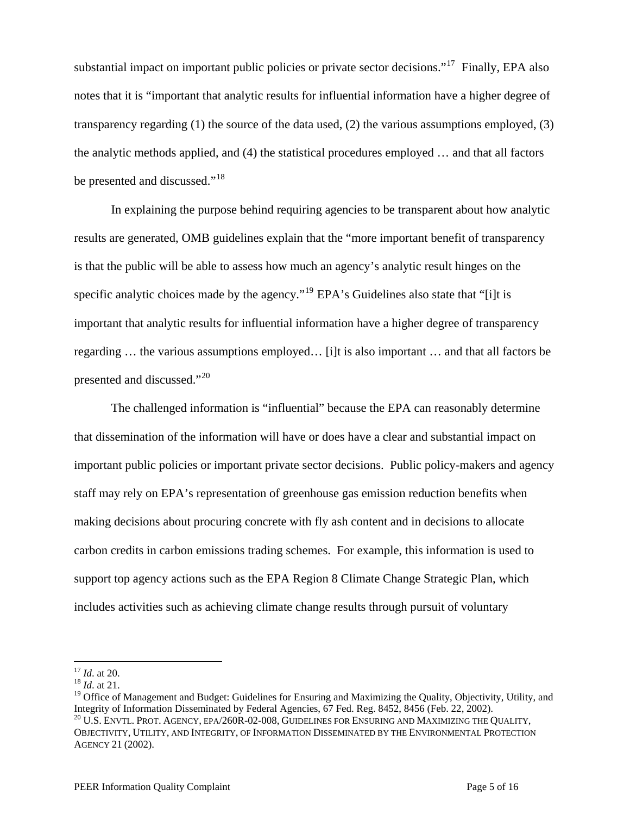substantial impact on important public policies or private sector decisions."<sup>[17](#page-4-0)</sup> Finally, EPA also notes that it is "important that analytic results for influential information have a higher degree of transparency regarding (1) the source of the data used, (2) the various assumptions employed, (3) the analytic methods applied, and (4) the statistical procedures employed … and that all factors be presented and discussed."<sup>[18](#page-4-1)</sup>

 In explaining the purpose behind requiring agencies to be transparent about how analytic results are generated, OMB guidelines explain that the "more important benefit of transparency is that the public will be able to assess how much an agency's analytic result hinges on the specific analytic choices made by the agency."<sup>[19](#page-4-2)</sup> EPA's Guidelines also state that "[i]t is important that analytic results for influential information have a higher degree of transparency regarding … the various assumptions employed… [i]t is also important … and that all factors be presented and discussed."[20](#page-4-3)

The challenged information is "influential" because the EPA can reasonably determine that dissemination of the information will have or does have a clear and substantial impact on important public policies or important private sector decisions. Public policy-makers and agency staff may rely on EPA's representation of greenhouse gas emission reduction benefits when making decisions about procuring concrete with fly ash content and in decisions to allocate carbon credits in carbon emissions trading schemes. For example, this information is used to support top agency actions such as the EPA Region 8 Climate Change Strategic Plan, which includes activities such as achieving climate change results through pursuit of voluntary

 $17$  *Id.* at 20.

<span id="page-4-1"></span><span id="page-4-0"></span><sup>&</sup>lt;sup>18</sup> *Id.* at 21.

<span id="page-4-2"></span><sup>&</sup>lt;sup>19</sup> Office of Management and Budget: Guidelines for Ensuring and Maximizing the Quality, Objectivity, Utility, and Integrity of Information Disseminated by Federal Agencies,  $67$  Fed. Reg.  $8452$ ,  $8456$  (Feb. 22, 2002).

<span id="page-4-3"></span> $^{20}$  U.S. ENVTL. PROT. AGENCY, EPA/260R-02-008, GUIDELINES FOR ENSURING AND MAXIMIZING THE QUALITY, OBJECTIVITY, UTILITY, AND INTEGRITY, OF INFORMATION DISSEMINATED BY THE ENVIRONMENTAL PROTECTION AGENCY 21 (2002).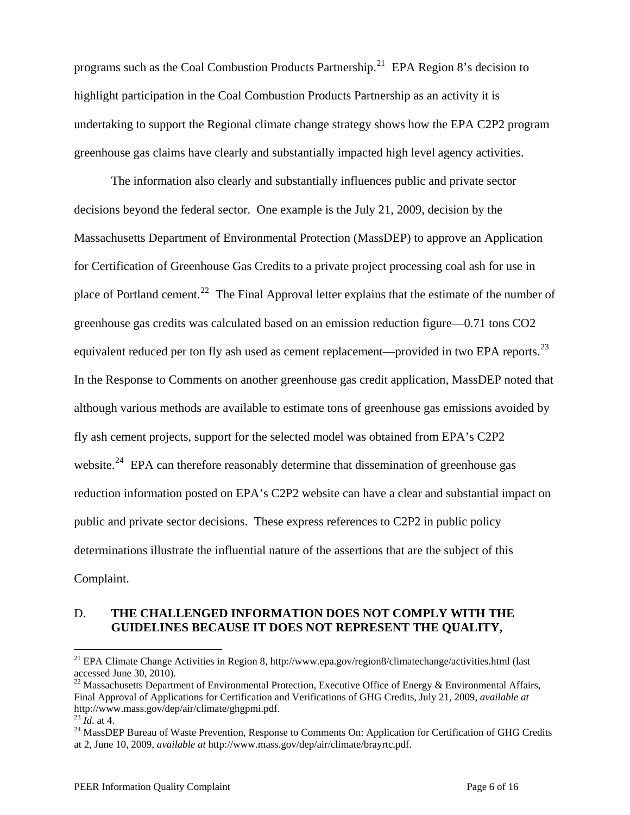programs such as the Coal Combustion Products Partnership.<sup>[21](#page-5-0)</sup> EPA Region 8's decision to highlight participation in the Coal Combustion Products Partnership as an activity it is undertaking to support the Regional climate change strategy shows how the EPA C2P2 program greenhouse gas claims have clearly and substantially impacted high level agency activities.

The information also clearly and substantially influences public and private sector decisions beyond the federal sector. One example is the July 21, 2009, decision by the Massachusetts Department of Environmental Protection (MassDEP) to approve an Application for Certification of Greenhouse Gas Credits to a private project processing coal ash for use in place of Portland cement.<sup>[22](#page-5-1)</sup> The Final Approval letter explains that the estimate of the number of greenhouse gas credits was calculated based on an emission reduction figure—0.71 tons CO2 equivalent reduced per ton fly ash used as cement replacement—provided in two EPA reports.<sup>[23](#page-5-2)</sup> In the Response to Comments on another greenhouse gas credit application, MassDEP noted that although various methods are available to estimate tons of greenhouse gas emissions avoided by fly ash cement projects, support for the selected model was obtained from EPA's C2P2 website.<sup>[24](#page-5-3)</sup> EPA can therefore reasonably determine that dissemination of greenhouse gas reduction information posted on EPA's C2P2 website can have a clear and substantial impact on public and private sector decisions. These express references to C2P2 in public policy determinations illustrate the influential nature of the assertions that are the subject of this Complaint.

### D. **THE CHALLENGED INFORMATION DOES NOT COMPLY WITH THE GUIDELINES BECAUSE IT DOES NOT REPRESENT THE QUALITY,**

<span id="page-5-0"></span><sup>&</sup>lt;sup>21</sup> EPA Climate Change Activities in Region 8, http://www.epa.gov/region8/climatechange/activities.html (last accessed June 30, 2010).

<span id="page-5-1"></span><sup>&</sup>lt;sup>22</sup> Massachusetts Department of Environmental Protection, Executive Office of Energy & Environmental Affairs, Final Approval of Applications for Certification and Verifications of GHG Credits, July 21, 2009, *available at* http://www.mass.gov/dep/air/climate/ghgpmi.pdf.<br><sup>23</sup> *Id.* at 4.<br><sup>24</sup> MassDEP Bureau of Waste Prevention, Response to Comments On: Application for Certification of GHG Credits

<span id="page-5-3"></span><span id="page-5-2"></span>at 2, June 10, 2009, *available at* http://www.mass.gov/dep/air/climate/brayrtc.pdf.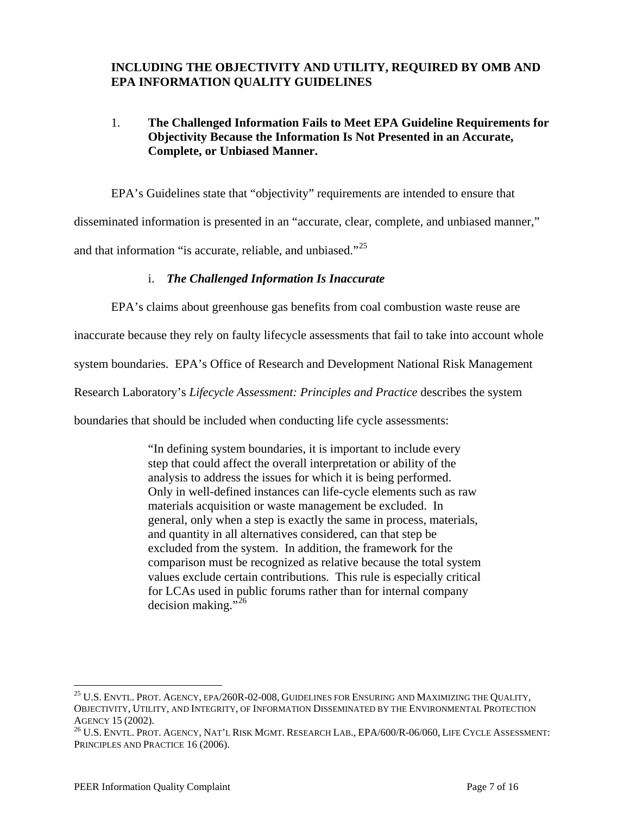# **INCLUDING THE OBJECTIVITY AND UTILITY, REQUIRED BY OMB AND EPA INFORMATION QUALITY GUIDELINES**

# 1. **The Challenged Information Fails to Meet EPA Guideline Requirements for Objectivity Because the Information Is Not Presented in an Accurate, Complete, or Unbiased Manner.**

EPA's Guidelines state that "objectivity" requirements are intended to ensure that

disseminated information is presented in an "accurate, clear, complete, and unbiased manner,"

and that information "is accurate, reliable, and unbiased."<sup>[25](#page-6-0)</sup>

### i. *The Challenged Information Is Inaccurate*

EPA's claims about greenhouse gas benefits from coal combustion waste reuse are

inaccurate because they rely on faulty lifecycle assessments that fail to take into account whole

system boundaries. EPA's Office of Research and Development National Risk Management

Research Laboratory's *Lifecycle Assessment: Principles and Practice* describes the system

boundaries that should be included when conducting life cycle assessments:

"In defining system boundaries, it is important to include every step that could affect the overall interpretation or ability of the analysis to address the issues for which it is being performed. Only in well-defined instances can life-cycle elements such as raw materials acquisition or waste management be excluded. In general, only when a step is exactly the same in process, materials, and quantity in all alternatives considered, can that step be excluded from the system. In addition, the framework for the comparison must be recognized as relative because the total system values exclude certain contributions. This rule is especially critical for LCAs used in public forums rather than for internal company decision making." $^{26}$  $^{26}$  $^{26}$ 

<span id="page-6-0"></span><sup>&</sup>lt;sup>25</sup> U.S. ENVTL. PROT. AGENCY, EPA/260R-02-008, GUIDELINES FOR ENSURING AND MAXIMIZING THE QUALITY, OBJECTIVITY, UTILITY, AND INTEGRITY, OF INFORMATION DISSEMINATED BY THE ENVIRONMENTAL PROTECTION

<span id="page-6-1"></span>AGENCY 15 (2002).<br><sup>26</sup> U.S. Envtl. Prot. Agency, Nat'l Risk Mgmt. Research Lab., EPA/600/R-06/060, Life Cycle Assessment: PRINCIPLES AND PRACTICE 16 (2006).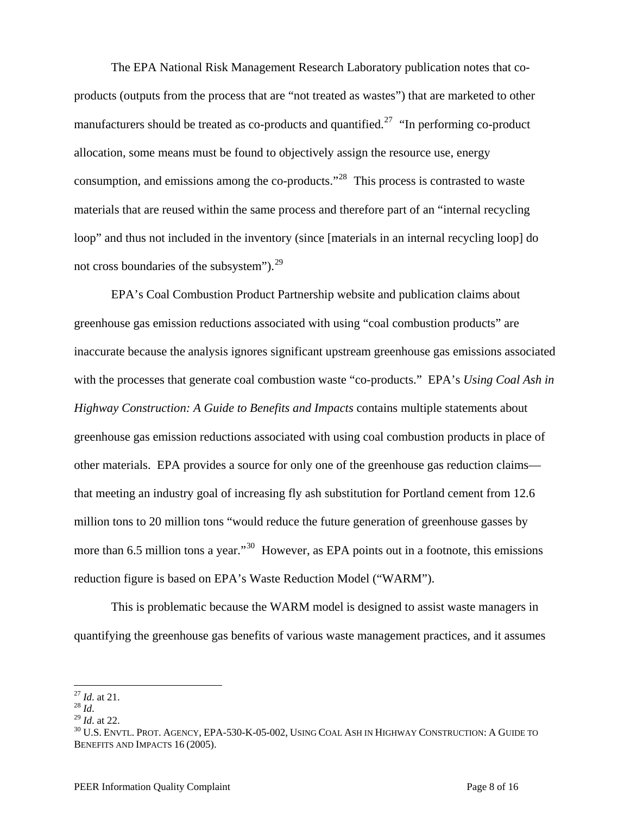The EPA National Risk Management Research Laboratory publication notes that coproducts (outputs from the process that are "not treated as wastes") that are marketed to other manufacturers should be treated as co-products and quantified.<sup>[27](#page-7-0)</sup> "In performing co-product allocation, some means must be found to objectively assign the resource use, energy consumption, and emissions among the co-products."[28](#page-7-1) This process is contrasted to waste materials that are reused within the same process and therefore part of an "internal recycling loop" and thus not included in the inventory (since [materials in an internal recycling loop] do not cross boundaries of the subsystem" $)^{29}$  $)^{29}$  $)^{29}$ 

 EPA's Coal Combustion Product Partnership website and publication claims about greenhouse gas emission reductions associated with using "coal combustion products" are inaccurate because the analysis ignores significant upstream greenhouse gas emissions associated with the processes that generate coal combustion waste "co-products." EPA's *Using Coal Ash in Highway Construction: A Guide to Benefits and Impacts* contains multiple statements about greenhouse gas emission reductions associated with using coal combustion products in place of other materials. EPA provides a source for only one of the greenhouse gas reduction claims that meeting an industry goal of increasing fly ash substitution for Portland cement from 12.6 million tons to 20 million tons "would reduce the future generation of greenhouse gasses by more than 6.5 million tons a year."<sup>[30](#page-7-3)</sup> However, as EPA points out in a footnote, this emissions reduction figure is based on EPA's Waste Reduction Model ("WARM").

This is problematic because the WARM model is designed to assist waste managers in quantifying the greenhouse gas benefits of various waste management practices, and it assumes

 $^{27}$  *Id.* at 21.

<span id="page-7-3"></span>

<span id="page-7-2"></span><span id="page-7-1"></span><span id="page-7-0"></span><sup>28</sup> *Id.*<br><sup>29</sup> *Id.*<br><sup>30</sup> *Id.* at 22. 30 U.S. ENVTL. PROT. AGENCY, EPA-530-K-05-002, USING COAL ASH IN HIGHWAY CONSTRUCTION: A GUIDE TO BENEFITS AND IMPACTS 16 (2005).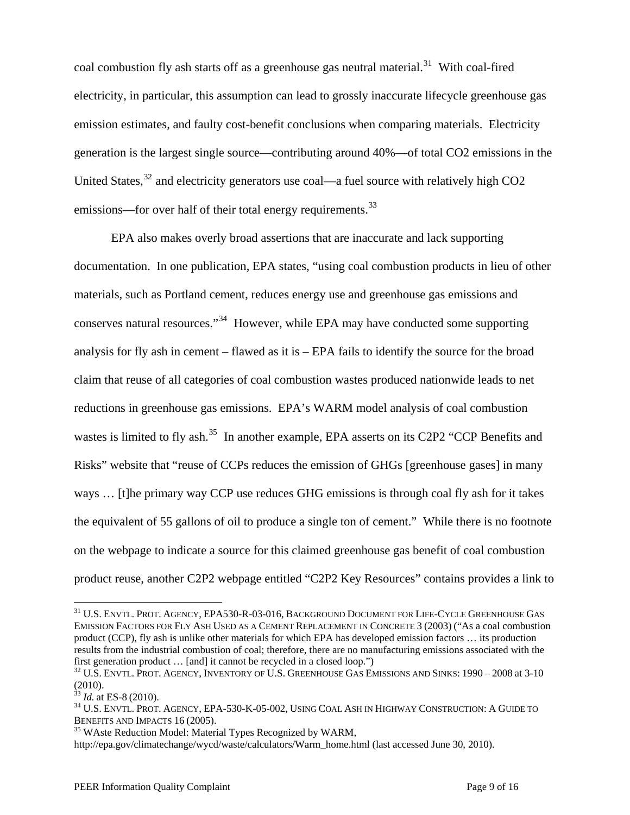coal combustion fly ash starts off as a greenhouse gas neutral material.<sup>[31](#page-8-0)</sup> With coal-fired electricity, in particular, this assumption can lead to grossly inaccurate lifecycle greenhouse gas emission estimates, and faulty cost-benefit conclusions when comparing materials. Electricity generation is the largest single source—contributing around 40%—of total CO2 emissions in the United States,  $32$  and electricity generators use coal—a fuel source with relatively high CO2 emissions—for over half of their total energy requirements.<sup>[33](#page-8-2)</sup>

 EPA also makes overly broad assertions that are inaccurate and lack supporting documentation. In one publication, EPA states, "using coal combustion products in lieu of other materials, such as Portland cement, reduces energy use and greenhouse gas emissions and conserves natural resources."[34](#page-8-3) However, while EPA may have conducted some supporting analysis for fly ash in cement – flawed as it is – EPA fails to identify the source for the broad claim that reuse of all categories of coal combustion wastes produced nationwide leads to net reductions in greenhouse gas emissions. EPA's WARM model analysis of coal combustion wastes is limited to fly ash.<sup>[35](#page-8-4)</sup> In another example, EPA asserts on its C2P2 "CCP Benefits and Risks" website that "reuse of CCPs reduces the emission of GHGs [greenhouse gases] in many ways … [t]he primary way CCP use reduces GHG emissions is through coal fly ash for it takes the equivalent of 55 gallons of oil to produce a single ton of cement." While there is no footnote on the webpage to indicate a source for this claimed greenhouse gas benefit of coal combustion product reuse, another C2P2 webpage entitled "C2P2 Key Resources" contains provides a link to

<span id="page-8-0"></span><sup>31</sup> U.S. ENVTL. PROT. AGENCY, EPA530-R-03-016, BACKGROUND DOCUMENT FOR LIFE-CYCLE GREENHOUSE GAS EMISSION FACTORS FOR FLY ASH USED AS A CEMENT REPLACEMENT IN CONCRETE 3 (2003) ("As a coal combustion product (CCP), fly ash is unlike other materials for which EPA has developed emission factors … its production results from the industrial combustion of coal; therefore, there are no manufacturing emissions associated with the first generation product ... [and] it cannot be recycled in a closed loop.")<br><sup>32</sup> U.S. ENVTL. PROT. AGENCY, INVENTORY OF U.S. GREENHOUSE GAS EMISSIONS AND SINKS: 1990 – 2008 at 3-10

<span id="page-8-1"></span><sup>(2010).</sup> 

<span id="page-8-3"></span>

<span id="page-8-2"></span><sup>&</sup>lt;sup>33</sup> *Id.* at ES-8 (2010).<br><sup>34</sup> U.S. Envtl. Prot. Agency, EPA-530-K-05-002, Using Coal Ash in Highway Construction: A Guide to BENEFITS AND IMPACTS 16 (2005).<br><sup>35</sup> WAste Reduction Model: Material Types Recognized by WARM,

<span id="page-8-4"></span>

http://epa.gov/climatechange/wycd/waste/calculators/Warm\_home.html (last accessed June 30, 2010).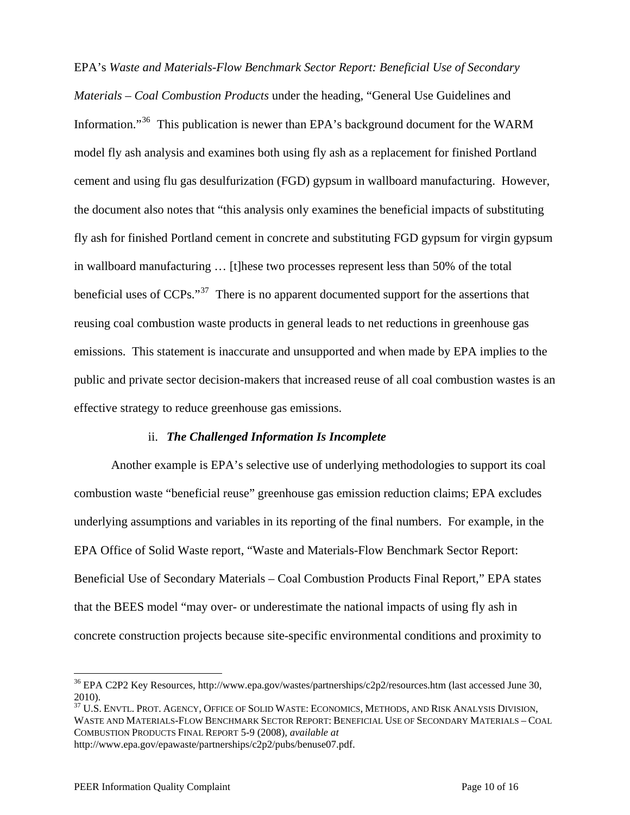EPA's *Waste and Materials-Flow Benchmark Sector Report: Beneficial Use of Secondary Materials – Coal Combustion Products* under the heading, "General Use Guidelines and Information."<sup>[36](#page-9-0)</sup> This publication is newer than EPA's background document for the WARM model fly ash analysis and examines both using fly ash as a replacement for finished Portland cement and using flu gas desulfurization (FGD) gypsum in wallboard manufacturing. However, the document also notes that "this analysis only examines the beneficial impacts of substituting fly ash for finished Portland cement in concrete and substituting FGD gypsum for virgin gypsum in wallboard manufacturing … [t]hese two processes represent less than 50% of the total beneficial uses of CCPs."<sup>[37](#page-9-1)</sup> There is no apparent documented support for the assertions that reusing coal combustion waste products in general leads to net reductions in greenhouse gas emissions. This statement is inaccurate and unsupported and when made by EPA implies to the public and private sector decision-makers that increased reuse of all coal combustion wastes is an effective strategy to reduce greenhouse gas emissions.

#### ii. *The Challenged Information Is Incomplete*

Another example is EPA's selective use of underlying methodologies to support its coal combustion waste "beneficial reuse" greenhouse gas emission reduction claims; EPA excludes underlying assumptions and variables in its reporting of the final numbers. For example, in the EPA Office of Solid Waste report, "Waste and Materials-Flow Benchmark Sector Report: Beneficial Use of Secondary Materials – Coal Combustion Products Final Report," EPA states that the BEES model "may over- or underestimate the national impacts of using fly ash in concrete construction projects because site-specific environmental conditions and proximity to

<span id="page-9-1"></span><sup>37</sup> U.S. ENVTL. PROT. AGENCY, OFFICE OF SOLID WASTE: ECONOMICS, METHODS, AND RISK ANALYSIS DIVISION, WASTE AND MATERIALS-FLOW BENCHMARK SECTOR REPORT: BENEFICIAL USE OF SECONDARY MATERIALS – COAL COMBUSTION PRODUCTS FINAL REPORT 5-9 (2008), *available at*

http://www.epa.gov/epawaste/partnerships/c2p2/pubs/benuse07.pdf.

<span id="page-9-0"></span><sup>&</sup>lt;sup>36</sup> EPA C2P2 Key Resources, http://www.epa.gov/wastes/partnerships/c2p2/resources.htm (last accessed June 30, 2010).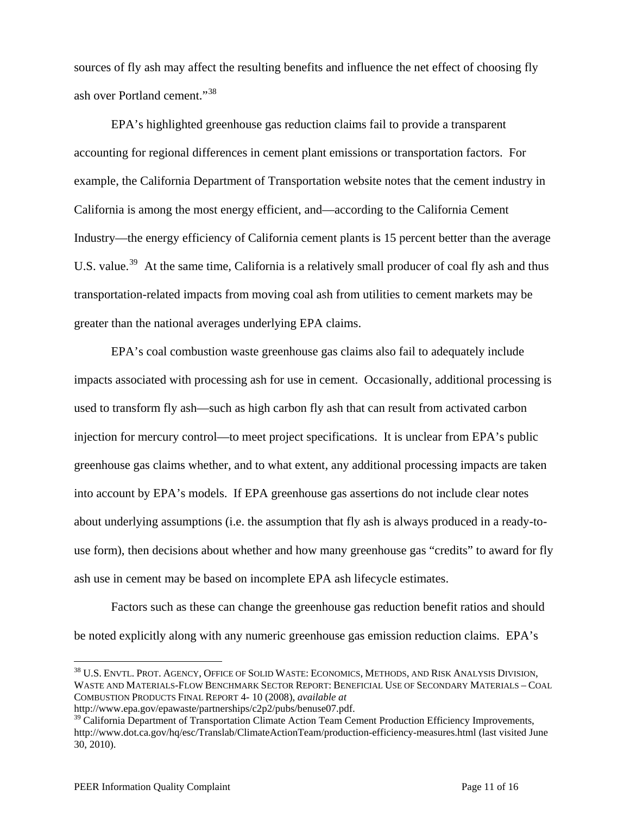sources of fly ash may affect the resulting benefits and influence the net effect of choosing fly ash over Portland cement."[38](#page-10-0)

EPA's highlighted greenhouse gas reduction claims fail to provide a transparent accounting for regional differences in cement plant emissions or transportation factors. For example, the California Department of Transportation website notes that the cement industry in California is among the most energy efficient, and—according to the California Cement Industry—the energy efficiency of California cement plants is 15 percent better than the average U.S. value.<sup>[39](#page-10-1)</sup> At the same time, California is a relatively small producer of coal fly ash and thus transportation-related impacts from moving coal ash from utilities to cement markets may be greater than the national averages underlying EPA claims.

EPA's coal combustion waste greenhouse gas claims also fail to adequately include impacts associated with processing ash for use in cement. Occasionally, additional processing is used to transform fly ash—such as high carbon fly ash that can result from activated carbon injection for mercury control—to meet project specifications. It is unclear from EPA's public greenhouse gas claims whether, and to what extent, any additional processing impacts are taken into account by EPA's models. If EPA greenhouse gas assertions do not include clear notes about underlying assumptions (i.e. the assumption that fly ash is always produced in a ready-touse form), then decisions about whether and how many greenhouse gas "credits" to award for fly ash use in cement may be based on incomplete EPA ash lifecycle estimates.

Factors such as these can change the greenhouse gas reduction benefit ratios and should be noted explicitly along with any numeric greenhouse gas emission reduction claims. EPA's

<span id="page-10-0"></span><sup>38</sup> U.S. ENVTL. PROT. AGENCY, OFFICE OF SOLID WASTE: ECONOMICS, METHODS, AND RISK ANALYSIS DIVISION, WASTE AND MATERIALS-FLOW BENCHMARK SECTOR REPORT: BENEFICIAL USE OF SECONDARY MATERIALS – COAL COMBUSTION PRODUCTS FINAL REPORT 4- 10 (2008), *available at* http://www.epa.gov/epawaste/partnerships/c2p2/pubs/benuse07.pdf.

<span id="page-10-1"></span><sup>&</sup>lt;sup>39</sup> California Department of Transportation Climate Action Team Cement Production Efficiency Improvements, http://www.dot.ca.gov/hq/esc/Translab/ClimateActionTeam/production-efficiency-measures.html (last visited June

<sup>30, 2010).</sup>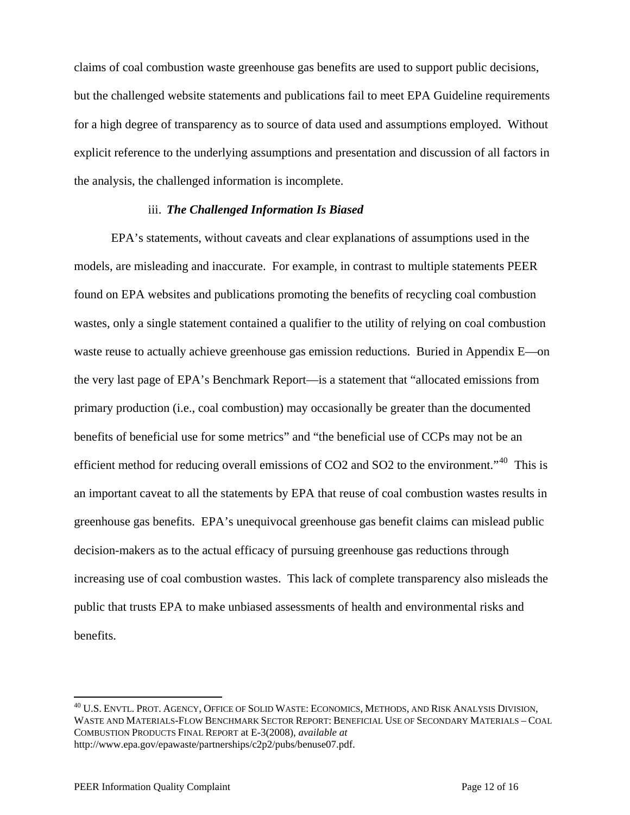claims of coal combustion waste greenhouse gas benefits are used to support public decisions, but the challenged website statements and publications fail to meet EPA Guideline requirements for a high degree of transparency as to source of data used and assumptions employed. Without explicit reference to the underlying assumptions and presentation and discussion of all factors in the analysis, the challenged information is incomplete.

#### iii. *The Challenged Information Is Biased*

EPA's statements, without caveats and clear explanations of assumptions used in the models, are misleading and inaccurate. For example, in contrast to multiple statements PEER found on EPA websites and publications promoting the benefits of recycling coal combustion wastes, only a single statement contained a qualifier to the utility of relying on coal combustion waste reuse to actually achieve greenhouse gas emission reductions. Buried in Appendix E—on the very last page of EPA's Benchmark Report—is a statement that "allocated emissions from primary production (i.e., coal combustion) may occasionally be greater than the documented benefits of beneficial use for some metrics" and "the beneficial use of CCPs may not be an efficient method for reducing overall emissions of CO2 and SO2 to the environment."<sup>[40](#page-11-0)</sup> This is an important caveat to all the statements by EPA that reuse of coal combustion wastes results in greenhouse gas benefits. EPA's unequivocal greenhouse gas benefit claims can mislead public decision-makers as to the actual efficacy of pursuing greenhouse gas reductions through increasing use of coal combustion wastes. This lack of complete transparency also misleads the public that trusts EPA to make unbiased assessments of health and environmental risks and benefits.

<u>.</u>

<span id="page-11-0"></span> $^{40}$  U.S. Envtl. Prot. Agency, Office of Solid Waste: Economics, Methods, and Risk Analysis Division, WASTE AND MATERIALS-FLOW BENCHMARK SECTOR REPORT: BENEFICIAL USE OF SECONDARY MATERIALS – COAL COMBUSTION PRODUCTS FINAL REPORT at E-3(2008), *available at* http://www.epa.gov/epawaste/partnerships/c2p2/pubs/benuse07.pdf.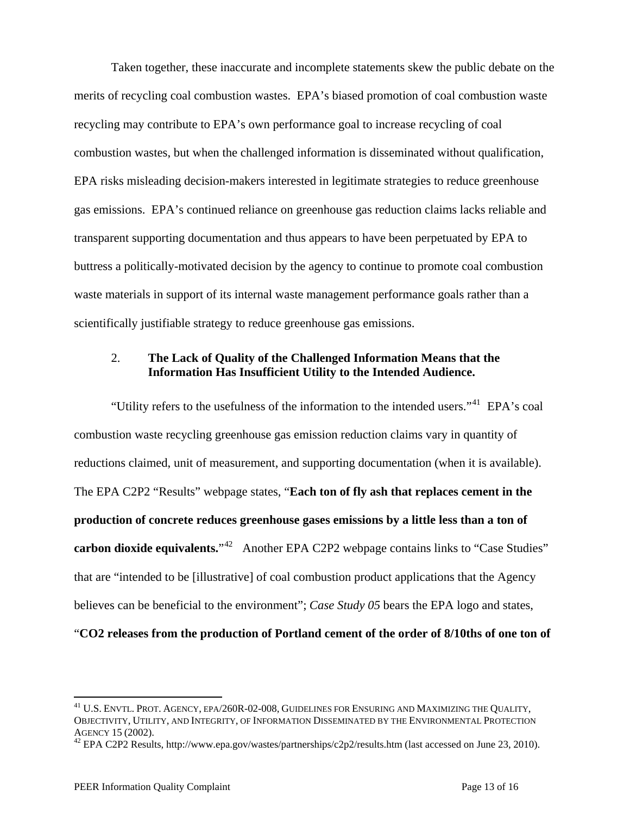Taken together, these inaccurate and incomplete statements skew the public debate on the merits of recycling coal combustion wastes. EPA's biased promotion of coal combustion waste recycling may contribute to EPA's own performance goal to increase recycling of coal combustion wastes, but when the challenged information is disseminated without qualification, EPA risks misleading decision-makers interested in legitimate strategies to reduce greenhouse gas emissions. EPA's continued reliance on greenhouse gas reduction claims lacks reliable and transparent supporting documentation and thus appears to have been perpetuated by EPA to buttress a politically-motivated decision by the agency to continue to promote coal combustion waste materials in support of its internal waste management performance goals rather than a scientifically justifiable strategy to reduce greenhouse gas emissions.

# 2. **The Lack of Quality of the Challenged Information Means that the Information Has Insufficient Utility to the Intended Audience.**

"Utility refers to the usefulness of the information to the intended users."<sup>[41](#page-12-0)</sup> EPA's coal combustion waste recycling greenhouse gas emission reduction claims vary in quantity of reductions claimed, unit of measurement, and supporting documentation (when it is available). The EPA C2P2 "Results" webpage states, "**Each ton of fly ash that replaces cement in the production of concrete reduces greenhouse gases emissions by a little less than a ton of carbon dioxide equivalents.**"<sup>[42](#page-12-1)</sup> Another EPA C2P2 webpage contains links to "Case Studies" that are "intended to be [illustrative] of coal combustion product applications that the Agency believes can be beneficial to the environment"; *Case Study 05* bears the EPA logo and states,

"**CO2 releases from the production of Portland cement of the order of 8/10ths of one ton of** 

<span id="page-12-0"></span><sup>41</sup> U.S. ENVTL. PROT. AGENCY, EPA/260R-02-008, GUIDELINES FOR ENSURING AND MAXIMIZING THE QUALITY, OBJECTIVITY, UTILITY, AND INTEGRITY, OF INFORMATION DISSEMINATED BY THE ENVIRONMENTAL PROTECTION AGENCY 15 (2002).<br><sup>42</sup> EPA C2P2 Results, http://www.epa.gov/wastes/partnerships/c2p2/results.htm (last accessed on June 23, 2010).

<span id="page-12-1"></span>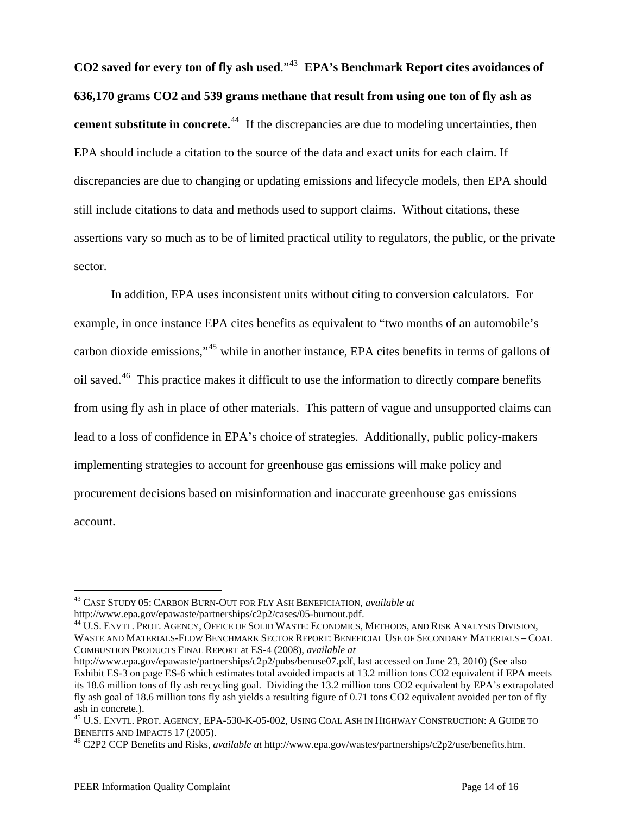**CO2 saved for every ton of fly ash used**."[43](#page-13-0) **EPA's Benchmark Report cites avoidances of 636,170 grams CO2 and 539 grams methane that result from using one ton of fly ash as cement substitute in concrete.**<sup>[44](#page-13-1)</sup> If the discrepancies are due to modeling uncertainties, then EPA should include a citation to the source of the data and exact units for each claim. If discrepancies are due to changing or updating emissions and lifecycle models, then EPA should still include citations to data and methods used to support claims. Without citations, these assertions vary so much as to be of limited practical utility to regulators, the public, or the private sector.

In addition, EPA uses inconsistent units without citing to conversion calculators. For example, in once instance EPA cites benefits as equivalent to "two months of an automobile's carbon dioxide emissions,"[45](#page-13-2) while in another instance, EPA cites benefits in terms of gallons of oil saved.<sup>[46](#page-13-3)</sup> This practice makes it difficult to use the information to directly compare benefits from using fly ash in place of other materials. This pattern of vague and unsupported claims can lead to a loss of confidence in EPA's choice of strategies. Additionally, public policy-makers implementing strategies to account for greenhouse gas emissions will make policy and procurement decisions based on misinformation and inaccurate greenhouse gas emissions account.

<span id="page-13-0"></span><sup>43</sup> CASE STUDY 05: CARBON BURN-OUT FOR FLY ASH BENEFICIATION, *available at*

<span id="page-13-1"></span><sup>&</sup>lt;sup>44</sup> U.S. ENVTL. PROT. AGENCY, OFFICE OF SOLID WASTE: ECONOMICS, METHODS, AND RISK ANALYSIS DIVISION, WASTE AND MATERIALS-FLOW BENCHMARK SECTOR REPORT: BENEFICIAL USE OF SECONDARY MATERIALS – COAL COMBUSTION PRODUCTS FINAL REPORT at ES-4 (2008), *available at*

http://www.epa.gov/epawaste/partnerships/c2p2/pubs/benuse07.pdf, last accessed on June 23, 2010) (See also Exhibit ES-3 on page ES-6 which estimates total avoided impacts at 13.2 million tons CO2 equivalent if EPA meets its 18.6 million tons of fly ash recycling goal. Dividing the 13.2 million tons CO2 equivalent by EPA's extrapolated fly ash goal of 18.6 million tons fly ash yields a resulting figure of 0.71 tons CO2 equivalent avoided per ton of fly ash in concrete.).

<span id="page-13-2"></span><sup>45</sup> U.S. ENVTL. PROT. AGENCY, EPA-530-K-05-002, USING COAL ASH IN HIGHWAY CONSTRUCTION: A GUIDE TO BENEFITS AND IMPACTS 17 (2005). 46 C2P2 CCP Benefits and Risks, *available at* http://www.epa.gov/wastes/partnerships/c2p2/use/benefits.htm.

<span id="page-13-3"></span>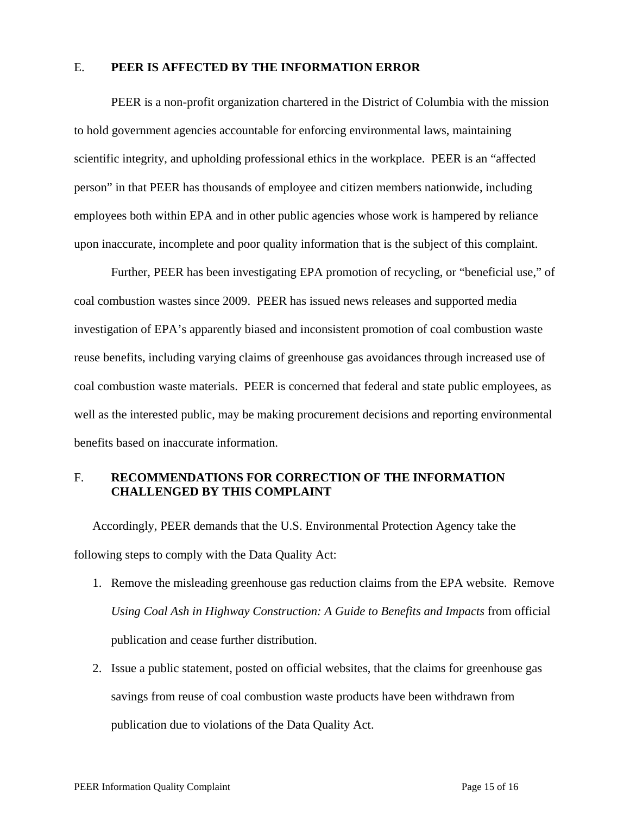### E. **PEER IS AFFECTED BY THE INFORMATION ERROR**

PEER is a non-profit organization chartered in the District of Columbia with the mission to hold government agencies accountable for enforcing environmental laws, maintaining scientific integrity, and upholding professional ethics in the workplace. PEER is an "affected person" in that PEER has thousands of employee and citizen members nationwide, including employees both within EPA and in other public agencies whose work is hampered by reliance upon inaccurate, incomplete and poor quality information that is the subject of this complaint.

Further, PEER has been investigating EPA promotion of recycling, or "beneficial use," of coal combustion wastes since 2009. PEER has issued news releases and supported media investigation of EPA's apparently biased and inconsistent promotion of coal combustion waste reuse benefits, including varying claims of greenhouse gas avoidances through increased use of coal combustion waste materials. PEER is concerned that federal and state public employees, as well as the interested public, may be making procurement decisions and reporting environmental benefits based on inaccurate information.

# F. **RECOMMENDATIONS FOR CORRECTION OF THE INFORMATION CHALLENGED BY THIS COMPLAINT**

Accordingly, PEER demands that the U.S. Environmental Protection Agency take the following steps to comply with the Data Quality Act:

- 1. Remove the misleading greenhouse gas reduction claims from the EPA website. Remove *Using Coal Ash in Highway Construction: A Guide to Benefits and Impacts* from official publication and cease further distribution.
- 2. Issue a public statement, posted on official websites, that the claims for greenhouse gas savings from reuse of coal combustion waste products have been withdrawn from publication due to violations of the Data Quality Act.